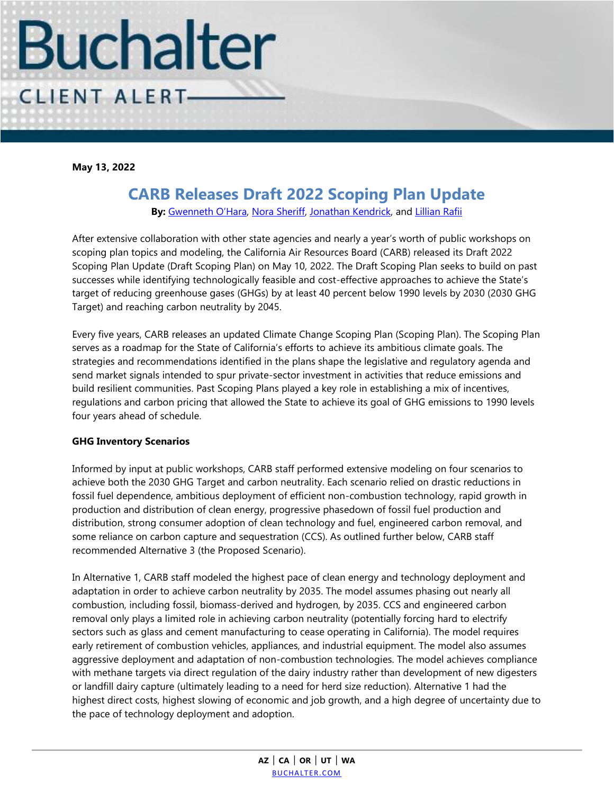

**May 13, 2022**

## **CARB Releases Draft 2022 Scoping Plan Update**

**By:** [Gwenneth O'Hara](https://www.buchalter.com/attorneys/gwenneth-ohara/#bio), [Nora Sheriff,](https://www.buchalter.com/attorneys/nora-sheriff/#bio) [Jonathan Kendrick,](https://www.buchalter.com/attorneys/jonathan-kendrick/#bio) and [Lillian Rafii](https://www.buchalter.com/attorneys/lillian-rafii/#bio) 

After extensive collaboration with other state agencies and nearly a year's worth of public workshops on scoping plan topics and modeling, the California Air Resources Board (CARB) released its Draft 2022 Scoping Plan Update (Draft Scoping Plan) on May 10, 2022. The Draft Scoping Plan seeks to build on past successes while identifying technologically feasible and cost-effective approaches to achieve the State's target of reducing greenhouse gases (GHGs) by at least 40 percent below 1990 levels by 2030 (2030 GHG Target) and reaching carbon neutrality by 2045.

Every five years, CARB releases an updated Climate Change Scoping Plan (Scoping Plan). The Scoping Plan serves as a roadmap for the State of California's efforts to achieve its ambitious climate goals. The strategies and recommendations identified in the plans shape the legislative and regulatory agenda and send market signals intended to spur private-sector investment in activities that reduce emissions and build resilient communities. Past Scoping Plans played a key role in establishing a mix of incentives, regulations and carbon pricing that allowed the State to achieve its goal of GHG emissions to 1990 levels four years ahead of schedule.

## **GHG Inventory Scenarios**

Informed by input at public workshops, CARB staff performed extensive modeling on four scenarios to achieve both the 2030 GHG Target and carbon neutrality. Each scenario relied on drastic reductions in fossil fuel dependence, ambitious deployment of efficient non-combustion technology, rapid growth in production and distribution of clean energy, progressive phasedown of fossil fuel production and distribution, strong consumer adoption of clean technology and fuel, engineered carbon removal, and some reliance on carbon capture and sequestration (CCS). As outlined further below, CARB staff recommended Alternative 3 (the Proposed Scenario).

In Alternative 1, CARB staff modeled the highest pace of clean energy and technology deployment and adaptation in order to achieve carbon neutrality by 2035. The model assumes phasing out nearly all combustion, including fossil, biomass-derived and hydrogen, by 2035. CCS and engineered carbon removal only plays a limited role in achieving carbon neutrality (potentially forcing hard to electrify sectors such as glass and cement manufacturing to cease operating in California). The model requires early retirement of combustion vehicles, appliances, and industrial equipment. The model also assumes aggressive deployment and adaptation of non-combustion technologies. The model achieves compliance with methane targets via direct regulation of the dairy industry rather than development of new digesters or landfill dairy capture (ultimately leading to a need for herd size reduction). Alternative 1 had the highest direct costs, highest slowing of economic and job growth, and a high degree of uncertainty due to the pace of technology deployment and adoption.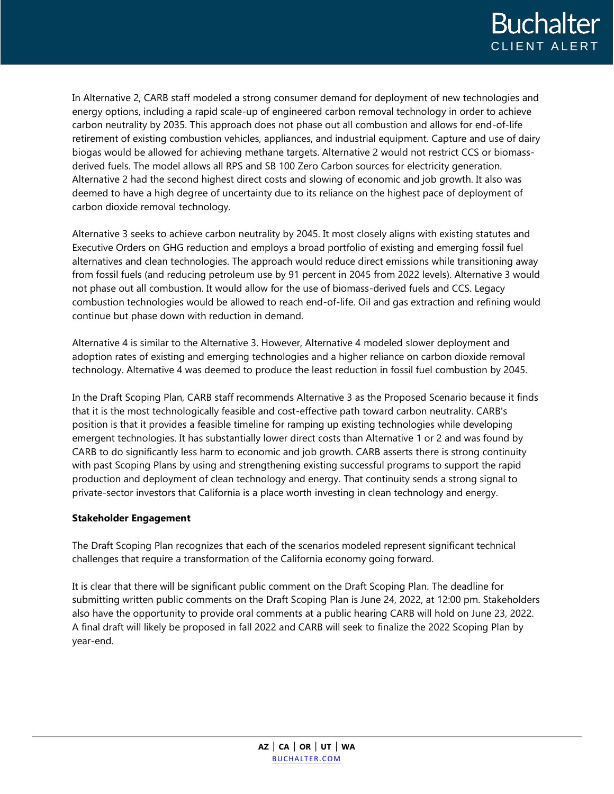In Alternative 2, CARB staff modeled a strong consumer demand for deployment of new technologies and energy options, including a rapid scale-up of engineered carbon removal technology in order to achieve carbon neutrality by 2035. This approach does not phase out all combustion and allows for end-of-life retirement of existing combustion vehicles, appliances, and industrial equipment. Capture and use of dairy biogas would be allowed for achieving methane targets. Alternative 2 would not restrict CCS or biomassderived fuels. The model allows all RPS and SB 100 Zero Carbon sources for electricity generation. Alternative 2 had the second highest direct costs and slowing of economic and job growth. It also was deemed to have a high degree of uncertainty due to its reliance on the highest pace of deployment of carbon dioxide removal technology.

Alternative 3 seeks to achieve carbon neutrality by 2045. It most closely aligns with existing statutes and Executive Orders on GHG reduction and employs a broad portfolio of existing and emerging fossil fuel alternatives and clean technologies. The approach would reduce direct emissions while transitioning away from fossil fuels (and reducing petroleum use by 91 percent in 2045 from 2022 levels). Alternative 3 would not phase out all combustion. It would allow for the use of biomass-derived fuels and CCS. Legacy combustion technologies would be allowed to reach end-of-life. Oil and gas extraction and refining would continue but phase down with reduction in demand.

Alternative 4 is similar to the Alternative 3. However, Alternative 4 modeled slower deployment and adoption rates of existing and emerging technologies and a higher reliance on carbon dioxide removal technology. Alternative 4 was deemed to produce the least reduction in fossil fuel combustion by 2045.

In the Draft Scoping Plan, CARB staff recommends Alternative 3 as the Proposed Scenario because it finds that it is the most technologically feasible and cost-effective path toward carbon neutrality. CARB's position is that it provides a feasible timeline for ramping up existing technologies while developing emergent technologies. It has substantially lower direct costs than Alternative 1 or 2 and was found by CARB to do significantly less harm to economic and job growth. CARB asserts there is strong continuity with past Scoping Plans by using and strengthening existing successful programs to support the rapid production and deployment of clean technology and energy. That continuity sends a strong signal to private-sector investors that California is a place worth investing in clean technology and energy.

## **Stakeholder Engagement**

The Draft Scoping Plan recognizes that each of the scenarios modeled represent significant technical challenges that require a transformation of the California economy going forward.

It is clear that there will be significant public comment on the Draft Scoping Plan. The deadline for submitting written public comments on the Draft Scoping Plan is June 24, 2022, at 12:00 pm. Stakeholders also have the opportunity to provide oral comments at a public hearing CARB will hold on June 23, 2022. A final draft will likely be proposed in fall 2022 and CARB will seek to finalize the 2022 Scoping Plan by year-end.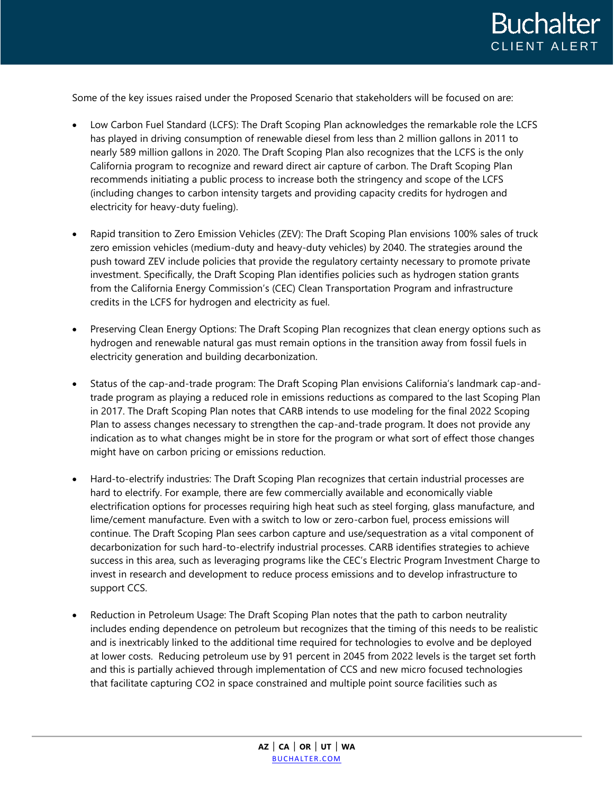

Some of the key issues raised under the Proposed Scenario that stakeholders will be focused on are:

- Low Carbon Fuel Standard (LCFS): The Draft Scoping Plan acknowledges the remarkable role the LCFS has played in driving consumption of renewable diesel from less than 2 million gallons in 2011 to nearly 589 million gallons in 2020. The Draft Scoping Plan also recognizes that the LCFS is the only California program to recognize and reward direct air capture of carbon. The Draft Scoping Plan recommends initiating a public process to increase both the stringency and scope of the LCFS (including changes to carbon intensity targets and providing capacity credits for hydrogen and electricity for heavy-duty fueling).
- Rapid transition to Zero Emission Vehicles (ZEV): The Draft Scoping Plan envisions 100% sales of truck zero emission vehicles (medium-duty and heavy-duty vehicles) by 2040. The strategies around the push toward ZEV include policies that provide the regulatory certainty necessary to promote private investment. Specifically, the Draft Scoping Plan identifies policies such as hydrogen station grants from the California Energy Commission's (CEC) Clean Transportation Program and infrastructure credits in the LCFS for hydrogen and electricity as fuel.
- Preserving Clean Energy Options: The Draft Scoping Plan recognizes that clean energy options such as hydrogen and renewable natural gas must remain options in the transition away from fossil fuels in electricity generation and building decarbonization.
- Status of the cap-and-trade program: The Draft Scoping Plan envisions California's landmark cap-andtrade program as playing a reduced role in emissions reductions as compared to the last Scoping Plan in 2017. The Draft Scoping Plan notes that CARB intends to use modeling for the final 2022 Scoping Plan to assess changes necessary to strengthen the cap-and-trade program. It does not provide any indication as to what changes might be in store for the program or what sort of effect those changes might have on carbon pricing or emissions reduction.
- Hard-to-electrify industries: The Draft Scoping Plan recognizes that certain industrial processes are hard to electrify. For example, there are few commercially available and economically viable electrification options for processes requiring high heat such as steel forging, glass manufacture, and lime/cement manufacture. Even with a switch to low or zero-carbon fuel, process emissions will continue. The Draft Scoping Plan sees carbon capture and use/sequestration as a vital component of decarbonization for such hard-to-electrify industrial processes. CARB identifies strategies to achieve success in this area, such as leveraging programs like the CEC's Electric Program Investment Charge to invest in research and development to reduce process emissions and to develop infrastructure to support CCS.
- Reduction in Petroleum Usage: The Draft Scoping Plan notes that the path to carbon neutrality includes ending dependence on petroleum but recognizes that the timing of this needs to be realistic and is inextricably linked to the additional time required for technologies to evolve and be deployed at lower costs. Reducing petroleum use by 91 percent in 2045 from 2022 levels is the target set forth and this is partially achieved through implementation of CCS and new micro focused technologies that facilitate capturing CO2 in space constrained and multiple point source facilities such as